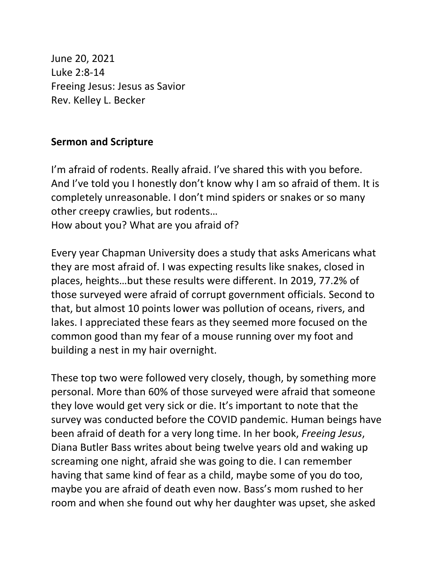June 20, 2021 Luke 2:8-14 Freeing Jesus: Jesus as Savior Rev. Kelley L. Becker

## **Sermon and Scripture**

I'm afraid of rodents. Really afraid. I've shared this with you before. And I've told you I honestly don't know why I am so afraid of them. It is completely unreasonable. I don't mind spiders or snakes or so many other creepy crawlies, but rodents…

How about you? What are you afraid of?

Every year Chapman University does a study that asks Americans what they are most afraid of. I was expecting results like snakes, closed in places, heights…but these results were different. In 2019, 77.2% of those surveyed were afraid of corrupt government officials. Second to that, but almost 10 points lower was pollution of oceans, rivers, and lakes. I appreciated these fears as they seemed more focused on the common good than my fear of a mouse running over my foot and building a nest in my hair overnight.

These top two were followed very closely, though, by something more personal. More than 60% of those surveyed were afraid that someone they love would get very sick or die. It's important to note that the survey was conducted before the COVID pandemic. Human beings have been afraid of death for a very long time. In her book, *Freeing Jesus*, Diana Butler Bass writes about being twelve years old and waking up screaming one night, afraid she was going to die. I can remember having that same kind of fear as a child, maybe some of you do too, maybe you are afraid of death even now. Bass's mom rushed to her room and when she found out why her daughter was upset, she asked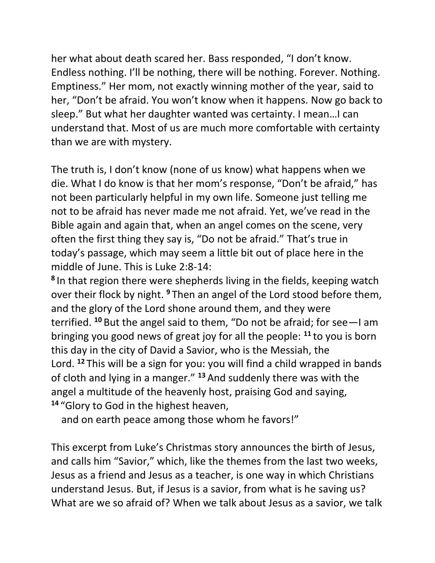her what about death scared her. Bass responded, "I don't know. Endless nothing. I'll be nothing, there will be nothing. Forever. Nothing. Emptiness." Her mom, not exactly winning mother of the year, said to her, "Don't be afraid. You won't know when it happens. Now go back to sleep." But what her daughter wanted was certainty. I mean…I can understand that. Most of us are much more comfortable with certainty than we are with mystery.

The truth is, I don't know (none of us know) what happens when we die. What I do know is that her mom's response, "Don't be afraid," has not been particularly helpful in my own life. Someone just telling me not to be afraid has never made me not afraid. Yet, we've read in the Bible again and again that, when an angel comes on the scene, very often the first thing they say is, "Do not be afraid." That's true in today's passage, which may seem a little bit out of place here in the middle of June. This is Luke 2:8-14:

**8** In that region there were shepherds living in the fields, keeping watch over their flock by night. **<sup>9</sup>** Then an angel of the Lord stood before them, and the glory of the Lord shone around them, and they were terrified. **<sup>10</sup>** But the angel said to them, "Do not be afraid; for see—I am bringing you good news of great joy for all the people: **<sup>11</sup>** to you is born this day in the city of David a Savior, who is the Messiah, the Lord. **<sup>12</sup>** This will be a sign for you: you will find a child wrapped in bands of cloth and lying in a manger." **<sup>13</sup>** And suddenly there was with the angel a multitude of the heavenly host, praising God and saying, **<sup>14</sup>** "Glory to God in the highest heaven,

and on earth peace among those whom he favors!"

This excerpt from Luke's Christmas story announces the birth of Jesus, and calls him "Savior," which, like the themes from the last two weeks, Jesus as a friend and Jesus as a teacher, is one way in which Christians understand Jesus. But, if Jesus is a savior, from what is he saving us? What are we so afraid of? When we talk about Jesus as a savior, we talk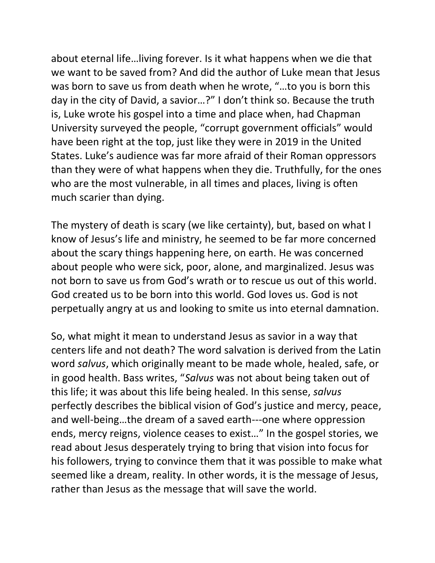about eternal life…living forever. Is it what happens when we die that we want to be saved from? And did the author of Luke mean that Jesus was born to save us from death when he wrote, "…to you is born this day in the city of David, a savior…?" I don't think so. Because the truth is, Luke wrote his gospel into a time and place when, had Chapman University surveyed the people, "corrupt government officials" would have been right at the top, just like they were in 2019 in the United States. Luke's audience was far more afraid of their Roman oppressors than they were of what happens when they die. Truthfully, for the ones who are the most vulnerable, in all times and places, living is often much scarier than dying.

The mystery of death is scary (we like certainty), but, based on what I know of Jesus's life and ministry, he seemed to be far more concerned about the scary things happening here, on earth. He was concerned about people who were sick, poor, alone, and marginalized. Jesus was not born to save us from God's wrath or to rescue us out of this world. God created us to be born into this world. God loves us. God is not perpetually angry at us and looking to smite us into eternal damnation.

So, what might it mean to understand Jesus as savior in a way that centers life and not death? The word salvation is derived from the Latin word *salvus*, which originally meant to be made whole, healed, safe, or in good health. Bass writes, "*Salvus* was not about being taken out of this life; it was about this life being healed. In this sense, *salvus* perfectly describes the biblical vision of God's justice and mercy, peace, and well-being…the dream of a saved earth---one where oppression ends, mercy reigns, violence ceases to exist…" In the gospel stories, we read about Jesus desperately trying to bring that vision into focus for his followers, trying to convince them that it was possible to make what seemed like a dream, reality. In other words, it is the message of Jesus, rather than Jesus as the message that will save the world.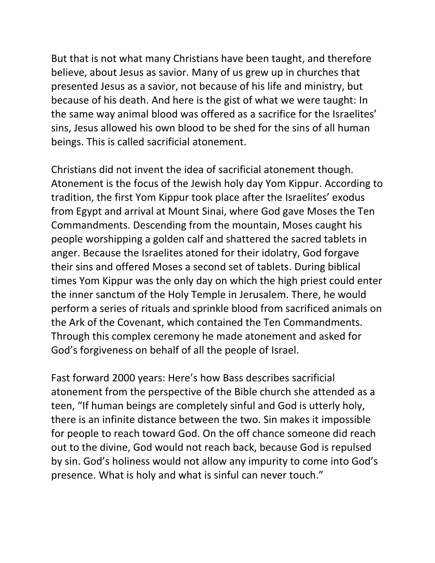But that is not what many Christians have been taught, and therefore believe, about Jesus as savior. Many of us grew up in churches that presented Jesus as a savior, not because of his life and ministry, but because of his death. And here is the gist of what we were taught: In the same way animal blood was offered as a sacrifice for the Israelites' sins, Jesus allowed his own blood to be shed for the sins of all human beings. This is called sacrificial atonement.

Christians did not invent the idea of sacrificial atonement though. Atonement is the focus of the Jewish holy day Yom Kippur. According to tradition, the first Yom Kippur took place after the Israelites' exodus from Egypt and arrival at Mount Sinai, where God gave Moses the Ten Commandments. Descending from the mountain, Moses caught his people worshipping a golden calf and shattered the sacred tablets in anger. Because the Israelites atoned for their idolatry, God forgave their sins and offered Moses a second set of tablets. During biblical times Yom Kippur was the only day on which the high priest could enter the inner sanctum of the Holy Temple in Jerusalem. There, he would perform a series of rituals and sprinkle blood from sacrificed animals on the Ark of the Covenant, which contained the Ten Commandments. Through this complex ceremony he made atonement and asked for God's forgiveness on behalf of all the people of Israel.

Fast forward 2000 years: Here's how Bass describes sacrificial atonement from the perspective of the Bible church she attended as a teen, "If human beings are completely sinful and God is utterly holy, there is an infinite distance between the two. Sin makes it impossible for people to reach toward God. On the off chance someone did reach out to the divine, God would not reach back, because God is repulsed by sin. God's holiness would not allow any impurity to come into God's presence. What is holy and what is sinful can never touch."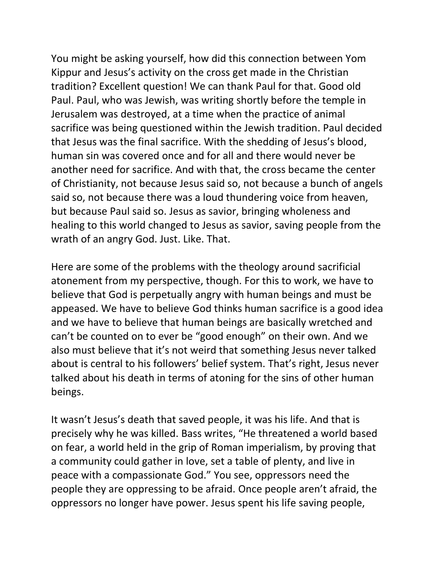You might be asking yourself, how did this connection between Yom Kippur and Jesus's activity on the cross get made in the Christian tradition? Excellent question! We can thank Paul for that. Good old Paul. Paul, who was Jewish, was writing shortly before the temple in Jerusalem was destroyed, at a time when the practice of animal sacrifice was being questioned within the Jewish tradition. Paul decided that Jesus was the final sacrifice. With the shedding of Jesus's blood, human sin was covered once and for all and there would never be another need for sacrifice. And with that, the cross became the center of Christianity, not because Jesus said so, not because a bunch of angels said so, not because there was a loud thundering voice from heaven, but because Paul said so. Jesus as savior, bringing wholeness and healing to this world changed to Jesus as savior, saving people from the wrath of an angry God. Just. Like. That.

Here are some of the problems with the theology around sacrificial atonement from my perspective, though. For this to work, we have to believe that God is perpetually angry with human beings and must be appeased. We have to believe God thinks human sacrifice is a good idea and we have to believe that human beings are basically wretched and can't be counted on to ever be "good enough" on their own. And we also must believe that it's not weird that something Jesus never talked about is central to his followers' belief system. That's right, Jesus never talked about his death in terms of atoning for the sins of other human beings.

It wasn't Jesus's death that saved people, it was his life. And that is precisely why he was killed. Bass writes, "He threatened a world based on fear, a world held in the grip of Roman imperialism, by proving that a community could gather in love, set a table of plenty, and live in peace with a compassionate God." You see, oppressors need the people they are oppressing to be afraid. Once people aren't afraid, the oppressors no longer have power. Jesus spent his life saving people,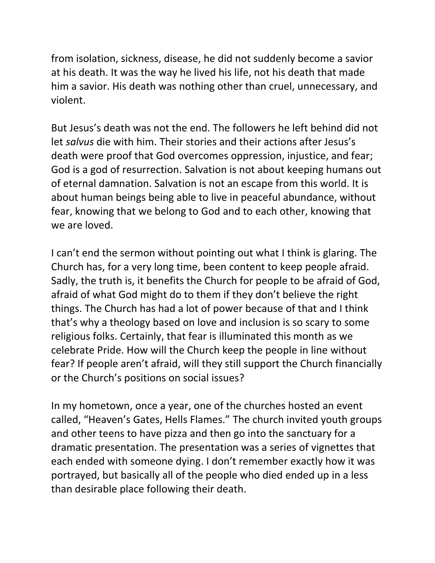from isolation, sickness, disease, he did not suddenly become a savior at his death. It was the way he lived his life, not his death that made him a savior. His death was nothing other than cruel, unnecessary, and violent.

But Jesus's death was not the end. The followers he left behind did not let *salvus* die with him. Their stories and their actions after Jesus's death were proof that God overcomes oppression, injustice, and fear; God is a god of resurrection. Salvation is not about keeping humans out of eternal damnation. Salvation is not an escape from this world. It is about human beings being able to live in peaceful abundance, without fear, knowing that we belong to God and to each other, knowing that we are loved.

I can't end the sermon without pointing out what I think is glaring. The Church has, for a very long time, been content to keep people afraid. Sadly, the truth is, it benefits the Church for people to be afraid of God, afraid of what God might do to them if they don't believe the right things. The Church has had a lot of power because of that and I think that's why a theology based on love and inclusion is so scary to some religious folks. Certainly, that fear is illuminated this month as we celebrate Pride. How will the Church keep the people in line without fear? If people aren't afraid, will they still support the Church financially or the Church's positions on social issues?

In my hometown, once a year, one of the churches hosted an event called, "Heaven's Gates, Hells Flames." The church invited youth groups and other teens to have pizza and then go into the sanctuary for a dramatic presentation. The presentation was a series of vignettes that each ended with someone dying. I don't remember exactly how it was portrayed, but basically all of the people who died ended up in a less than desirable place following their death.